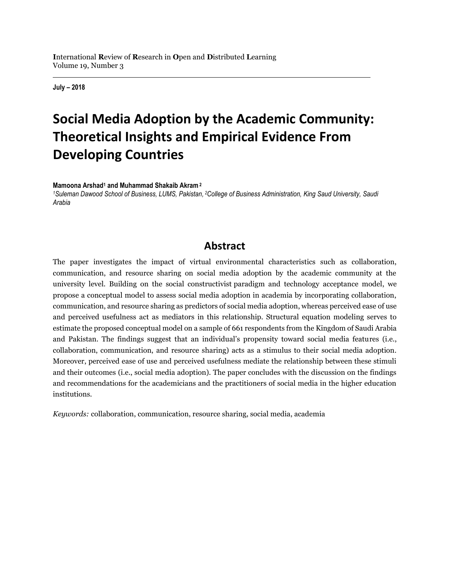**July – 2018**

# **Social Media Adoption by the Academic Community: Theoretical Insights and Empirical Evidence From Developing Countries**

**Mamoona Arshad<sup>1</sup> and Muhammad Shakaib Akram <sup>2</sup>**

*<sup>1</sup>Suleman Dawood School of Business, LUMS, Pakistan, <sup>2</sup>College of Business Administration, King Saud University, Saudi Arabia*

### **Abstract**

The paper investigates the impact of virtual environmental characteristics such as collaboration, communication, and resource sharing on social media adoption by the academic community at the university level. Building on the social constructivist paradigm and technology acceptance model, we propose a conceptual model to assess social media adoption in academia by incorporating collaboration, communication, and resource sharing as predictors of social media adoption, whereas perceived ease of use and perceived usefulness act as mediators in this relationship. Structural equation modeling serves to estimate the proposed conceptual model on a sample of 661 respondents from the Kingdom of Saudi Arabia and Pakistan. The findings suggest that an individual's propensity toward social media features (i.e., collaboration, communication, and resource sharing) acts as a stimulus to their social media adoption. Moreover, perceived ease of use and perceived usefulness mediate the relationship between these stimuli and their outcomes (i.e., social media adoption). The paper concludes with the discussion on the findings and recommendations for the academicians and the practitioners of social media in the higher education institutions.

*Keywords:* collaboration, communication, resource sharing, social media, academia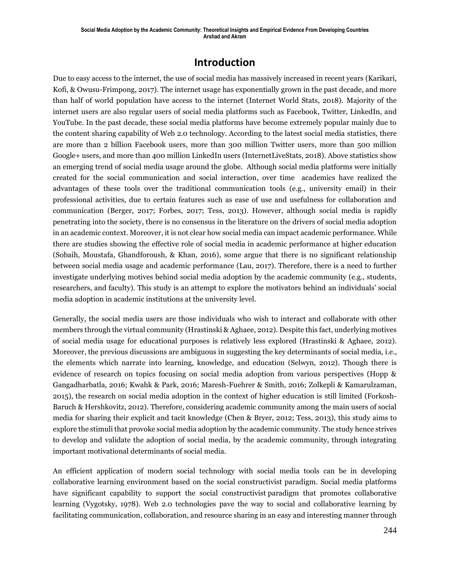### **Introduction**

Due to easy access to the internet, the use of social media has massively increased in recent years (Karikari, Kofi, & Owusu-Frimpong, 2017). The internet usage has exponentially grown in the past decade, and more than half of world population have access to the internet (Internet World Stats, 2018). Majority of the internet users are also regular users of social media platforms such as Facebook, Twitter, LinkedIn, and YouTube. In the past decade, these social media platforms have become extremely popular mainly due to the content sharing capability of Web 2.0 technology. According to the latest social media statistics, there are more than 2 billion Facebook users, more than 300 million Twitter users, more than 500 million Google+ users, and more than 400 million LinkedIn users (InternetLiveStats, 2018). Above statistics show an emerging trend of social media usage around the globe. Although social media platforms were initially created for the social communication and social interaction, over time academics have realized the advantages of these tools over the traditional communication tools (e.g., university email) in their professional activities, due to certain features such as ease of use and usefulness for collaboration and communication (Berger, 2017; Forbes, 2017; Tess, 2013). However, although social media is rapidly penetrating into the society, there is no consensus in the literature on the drivers of social media adoption in an academic context. Moreover, it is not clear how social media can impact academic performance. While there are studies showing the effective role of social media in academic performance at higher education (Sobaih, Moustafa, Ghandforoush, & Khan, 2016), some argue that there is no significant relationship between social media usage and academic performance (Lau, 2017). Therefore, there is a need to further investigate underlying motives behind social media adoption by the academic community (e.g., students, researchers, and faculty). This study is an attempt to explore the motivators behind an individuals' social media adoption in academic institutions at the university level.

Generally, the social media users are those individuals who wish to interact and collaborate with other members through the virtual community (Hrastinski & Aghaee, 2012). Despite this fact, underlying motives of social media usage for educational purposes is relatively less explored (Hrastinski & Aghaee, 2012). Moreover, the previous discussions are ambiguous in suggesting the key determinants of social media, i.e., the elements which narrate into learning, knowledge, and education (Selwyn, 2012). Though there is evidence of research on topics focusing on social media adoption from various perspectives (Hopp & Gangadharbatla, 2016; Kwahk & Park, 2016; Maresh-Fuehrer & Smith, 2016; Zolkepli & Kamarulzaman, 2015), the research on social media adoption in the context of higher education is still limited (Forkosh-Baruch & Hershkovitz, 2012). Therefore, considering academic community among the main users of social media for sharing their explicit and tacit knowledge (Chen & Bryer, 2012; Tess, 2013), this study aims to explore the stimuli that provoke social media adoption by the academic community. The study hence strives to develop and validate the adoption of social media, by the academic community, through integrating important motivational determinants of social media.

An efficient application of modern social technology with social media tools can be in developing collaborative learning environment based on the social constructivist paradigm. Social media platforms have significant capability to support the social constructivist paradigm that promotes collaborative learning (Vygotsky, 1978). Web 2.0 technologies pave the way to social and collaborative learning by facilitating communication, collaboration, and resource sharing in an easy and interesting manner through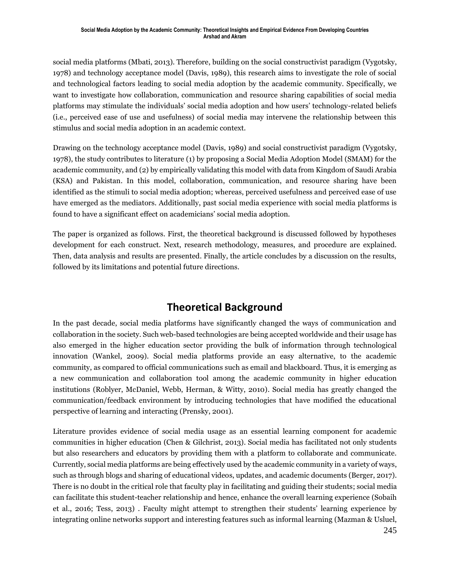social media platforms (Mbati, 2013). Therefore, building on the social constructivist paradigm (Vygotsky, 1978) and technology acceptance model (Davis, 1989), this research aims to investigate the role of social and technological factors leading to social media adoption by the academic community. Specifically, we want to investigate how collaboration, communication and resource sharing capabilities of social media platforms may stimulate the individuals' social media adoption and how users' technology-related beliefs (i.e., perceived ease of use and usefulness) of social media may intervene the relationship between this stimulus and social media adoption in an academic context.

Drawing on the technology acceptance model (Davis, 1989) and social constructivist paradigm (Vygotsky, 1978), the study contributes to literature (1) by proposing a Social Media Adoption Model (SMAM) for the academic community, and (2) by empirically validating this model with data from Kingdom of Saudi Arabia (KSA) and Pakistan. In this model, collaboration, communication, and resource sharing have been identified as the stimuli to social media adoption; whereas, perceived usefulness and perceived ease of use have emerged as the mediators. Additionally, past social media experience with social media platforms is found to have a significant effect on academicians' social media adoption.

The paper is organized as follows. First, the theoretical background is discussed followed by hypotheses development for each construct. Next, research methodology, measures, and procedure are explained. Then, data analysis and results are presented. Finally, the article concludes by a discussion on the results, followed by its limitations and potential future directions.

## **Theoretical Background**

In the past decade, social media platforms have significantly changed the ways of communication and collaboration in the society. Such web-based technologies are being accepted worldwide and their usage has also emerged in the higher education sector providing the bulk of information through technological innovation (Wankel, 2009). Social media platforms provide an easy alternative, to the academic community, as compared to official communications such as email and blackboard. Thus, it is emerging as a new communication and collaboration tool among the academic community in higher education institutions (Roblyer, McDaniel, Webb, Herman, & Witty, 2010). Social media has greatly changed the communication/feedback environment by introducing technologies that have modified the educational perspective of learning and interacting (Prensky, 2001).

Literature provides evidence of social media usage as an essential learning component for academic communities in higher education (Chen & Gilchrist, 2013). Social media has facilitated not only students but also researchers and educators by providing them with a platform to collaborate and communicate. Currently, social media platforms are being effectively used by the academic community in a variety of ways, such as through blogs and sharing of educational videos, updates, and academic documents (Berger, 2017). There is no doubt in the critical role that faculty play in facilitating and guiding their students; social media can facilitate this student-teacher relationship and hence, enhance the overall learning experience (Sobaih et al., 2016; Tess, 2013) . Faculty might attempt to strengthen their students' learning experience by integrating online networks support and interesting features such as informal learning (Mazman & Usluel,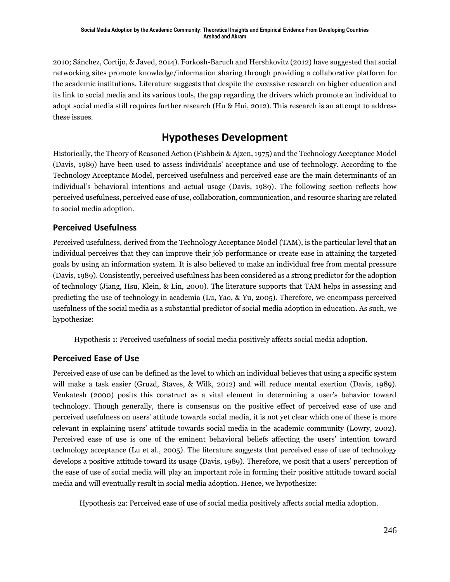2010; Sánchez, Cortijo, & Javed, 2014). Forkosh-Baruch and Hershkovitz (2012) have suggested that social networking sites promote knowledge/information sharing through providing a collaborative platform for the academic institutions. Literature suggests that despite the excessive research on higher education and its link to social media and its various tools, the gap regarding the drivers which promote an individual to adopt social media still requires further research (Hu & Hui, 2012). This research is an attempt to address these issues.

## **Hypotheses Development**

Historically, the Theory of Reasoned Action (Fishbein & Ajzen, 1975) and the Technology Acceptance Model (Davis, 1989) have been used to assess individuals' acceptance and use of technology. According to the Technology Acceptance Model, perceived usefulness and perceived ease are the main determinants of an individual's behavioral intentions and actual usage (Davis, 1989). The following section reflects how perceived usefulness, perceived ease of use, collaboration, communication, and resource sharing are related to social media adoption.

#### **Perceived Usefulness**

Perceived usefulness, derived from the Technology Acceptance Model (TAM), is the particular level that an individual perceives that they can improve their job performance or create ease in attaining the targeted goals by using an information system. It is also believed to make an individual free from mental pressure (Davis, 1989). Consistently, perceived usefulness has been considered as a strong predictor for the adoption of technology (Jiang, Hsu, Klein, & Lin, 2000). The literature supports that TAM helps in assessing and predicting the use of technology in academia (Lu, Yao, & Yu, 2005). Therefore, we encompass perceived usefulness of the social media as a substantial predictor of social media adoption in education. As such, we hypothesize:

Hypothesis 1: Perceived usefulness of social media positively affects social media adoption.

#### **Perceived Ease of Use**

Perceived ease of use can be defined as the level to which an individual believes that using a specific system will make a task easier (Gruzd, Staves, & Wilk, 2012) and will reduce mental exertion (Davis, 1989). Venkatesh (2000) posits this construct as a vital element in determining a user's behavior toward technology. Though generally, there is consensus on the positive effect of perceived ease of use and perceived usefulness on users' attitude towards social media, it is not yet clear which one of these is more relevant in explaining users' attitude towards social media in the academic community (Lowry, 2002). Perceived ease of use is one of the eminent behavioral beliefs affecting the users' intention toward technology acceptance (Lu et al., 2005). The literature suggests that perceived ease of use of technology develops a positive attitude toward its usage (Davis, 1989). Therefore, we posit that a users' perception of the ease of use of social media will play an important role in forming their positive attitude toward social media and will eventually result in social media adoption. Hence, we hypothesize:

Hypothesis 2a: Perceived ease of use of social media positively affects social media adoption.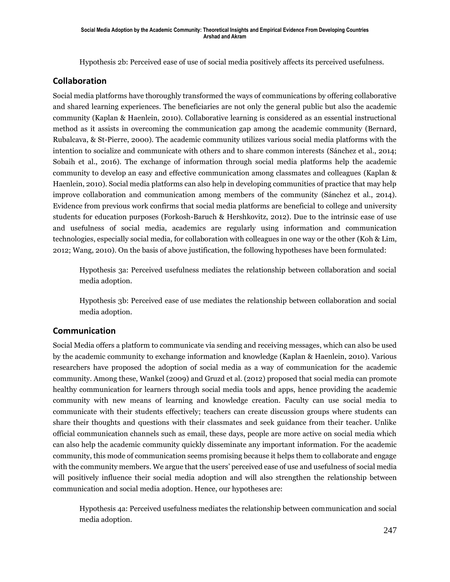Hypothesis 2b: Perceived ease of use of social media positively affects its perceived usefulness.

#### **Collaboration**

Social media platforms have thoroughly transformed the ways of communications by offering collaborative and shared learning experiences. The beneficiaries are not only the general public but also the academic community (Kaplan & Haenlein, 2010). Collaborative learning is considered as an essential instructional method as it assists in overcoming the communication gap among the academic community (Bernard, Rubalcava, & St-Pierre, 2000). The academic community utilizes various social media platforms with the intention to socialize and communicate with others and to share common interests (Sánchez et al., 2014; Sobaih et al., 2016). The exchange of information through social media platforms help the academic community to develop an easy and effective communication among classmates and colleagues (Kaplan & Haenlein, 2010). Social media platforms can also help in developing communities of practice that may help improve collaboration and communication among members of the community (Sánchez et al., 2014). Evidence from previous work confirms that social media platforms are beneficial to college and university students for education purposes (Forkosh-Baruch & Hershkovitz, 2012). Due to the intrinsic ease of use and usefulness of social media, academics are regularly using information and communication technologies, especially social media, for collaboration with colleagues in one way or the other (Koh & Lim, 2012; Wang, 2010). On the basis of above justification, the following hypotheses have been formulated:

Hypothesis 3a: Perceived usefulness mediates the relationship between collaboration and social media adoption.

Hypothesis 3b: Perceived ease of use mediates the relationship between collaboration and social media adoption.

#### **Communication**

Social Media offers a platform to communicate via sending and receiving messages, which can also be used by the academic community to exchange information and knowledge (Kaplan & Haenlein, 2010). Various researchers have proposed the adoption of social media as a way of communication for the academic community. Among these, Wankel (2009) and Gruzd et al. (2012) proposed that social media can promote healthy communication for learners through social media tools and apps, hence providing the academic community with new means of learning and knowledge creation. Faculty can use social media to communicate with their students effectively; teachers can create discussion groups where students can share their thoughts and questions with their classmates and seek guidance from their teacher. Unlike official communication channels such as email, these days, people are more active on social media which can also help the academic community quickly disseminate any important information. For the academic community, this mode of communication seems promising because it helps them to collaborate and engage with the community members. We argue that the users' perceived ease of use and usefulness of social media will positively influence their social media adoption and will also strengthen the relationship between communication and social media adoption. Hence, our hypotheses are:

Hypothesis 4a: Perceived usefulness mediates the relationship between communication and social media adoption.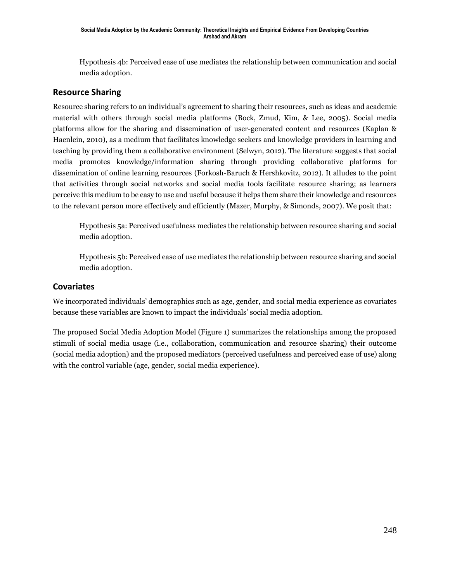Hypothesis 4b: Perceived ease of use mediates the relationship between communication and social media adoption.

#### **Resource Sharing**

Resource sharing refers to an individual's agreement to sharing their resources, such as ideas and academic material with others through social media platforms (Bock, Zmud, Kim, & Lee, 2005). Social media platforms allow for the sharing and dissemination of user-generated content and resources (Kaplan & Haenlein, 2010), as a medium that facilitates knowledge seekers and knowledge providers in learning and teaching by providing them a collaborative environment (Selwyn, 2012). The literature suggests that social media promotes knowledge/information sharing through providing collaborative platforms for dissemination of online learning resources (Forkosh-Baruch & Hershkovitz, 2012). It alludes to the point that activities through social networks and social media tools facilitate resource sharing; as learners perceive this medium to be easy to use and useful because it helps them share their knowledge and resources to the relevant person more effectively and efficiently (Mazer, Murphy, & Simonds, 2007). We posit that:

Hypothesis 5a: Perceived usefulness mediates the relationship between resource sharing and social media adoption.

Hypothesis 5b: Perceived ease of use mediates the relationship between resource sharing and social media adoption.

#### **Covariates**

We incorporated individuals' demographics such as age, gender, and social media experience as covariates because these variables are known to impact the individuals' social media adoption.

The proposed Social Media Adoption Model (Figure 1) summarizes the relationships among the proposed stimuli of social media usage (i.e., collaboration, communication and resource sharing) their outcome (social media adoption) and the proposed mediators (perceived usefulness and perceived ease of use) along with the control variable (age, gender, social media experience).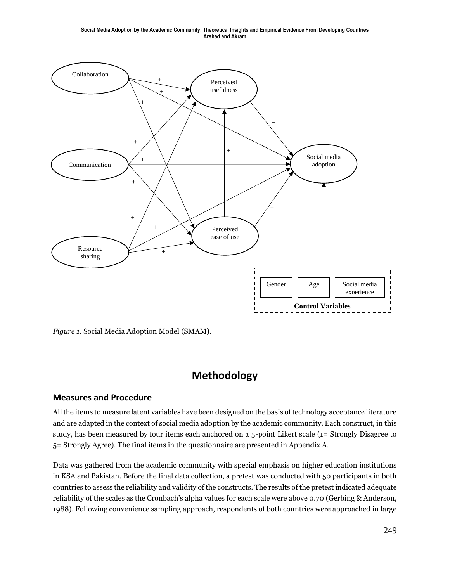**Social Media Adoption by the Academic Community: Theoretical Insights and Empirical Evidence From Developing Countries Arshad and Akram**



*Figure 1.* Social Media Adoption Model (SMAM).

## **Methodology**

#### **Measures and Procedure**

All the items to measure latent variables have been designed on the basis of technology acceptance literature and are adapted in the context of social media adoption by the academic community. Each construct, in this study, has been measured by four items each anchored on a 5-point Likert scale (1= Strongly Disagree to 5= Strongly Agree). The final items in the questionnaire are presented in Appendix A.

Data was gathered from the academic community with special emphasis on higher education institutions in KSA and Pakistan. Before the final data collection, a pretest was conducted with 50 participants in both countries to assess the reliability and validity of the constructs. The results of the pretest indicated adequate reliability of the scales as the Cronbach's alpha values for each scale were above 0.70 (Gerbing & Anderson, 1988). Following convenience sampling approach, respondents of both countries were approached in large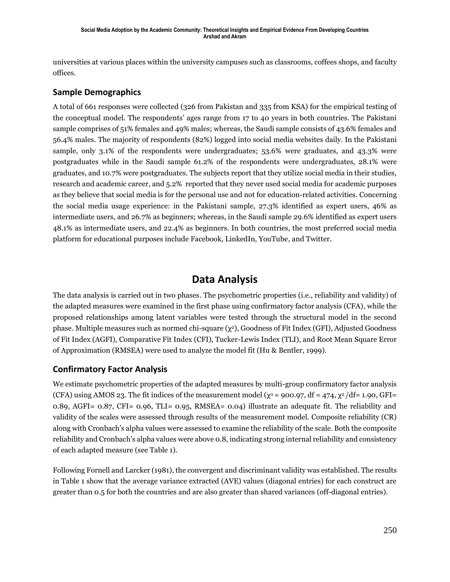universities at various places within the university campuses such as classrooms, coffees shops, and faculty offices.

#### **Sample Demographics**

A total of 661 responses were collected (326 from Pakistan and 335 from KSA) for the empirical testing of the conceptual model. The respondents' ages range from 17 to 40 years in both countries. The Pakistani sample comprises of 51% females and 49% males; whereas, the Saudi sample consists of 43.6% females and 56.4% males. The majority of respondents (82%) logged into social media websites daily. In the Pakistani sample, only 3.1% of the respondents were undergraduates; 53.6% were graduates, and 43.3% were postgraduates while in the Saudi sample 61.2% of the respondents were undergraduates, 28.1% were graduates, and 10.7% were postgraduates. The subjects report that they utilize social media in their studies, research and academic career, and 5.2% reported that they never used social media for academic purposes as they believe that social media is for the personal use and not for education-related activities. Concerning the social media usage experience: in the Pakistani sample, 27.3% identified as expert users, 46% as intermediate users, and 26.7% as beginners; whereas, in the Saudi sample 29.6% identified as expert users 48.1% as intermediate users, and 22.4% as beginners. In both countries, the most preferred social media platform for educational purposes include Facebook, LinkedIn, YouTube, and Twitter.

### **Data Analysis**

The data analysis is carried out in two phases. The psychometric properties (i.e., reliability and validity) of the adapted measures were examined in the first phase using confirmatory factor analysis (CFA), while the proposed relationships among latent variables were tested through the structural model in the second phase. Multiple measures such as normed chi-square (χ2), Goodness of Fit Index (GFI), Adjusted Goodness of Fit Index (AGFI), Comparative Fit Index (CFI), Tucker-Lewis Index (TLI), and Root Mean Square Error of Approximation (RMSEA) were used to analyze the model fit (Hu & Bentler, 1999).

#### **Confirmatory Factor Analysis**

We estimate psychometric properties of the adapted measures by multi-group confirmatory factor analysis (CFA) using AMOS 23. The fit indices of the measurement model ( $\chi^2$  = 900.97, df = 474,  $\chi^2$ /df= 1.90, GFI= 0.89, AGFI= 0.87, CFI= 0.96, TLI= 0.95, RMSEA= 0.04) illustrate an adequate fit. The reliability and validity of the scales were assessed through results of the measurement model. Composite reliability (CR) along with Cronbach's alpha values were assessed to examine the reliability of the scale. Both the composite reliability and Cronbach's alpha values were above 0.8, indicating strong internal reliability and consistency of each adapted measure (see Table 1).

Following Fornell and Larcker (1981), the convergent and discriminant validity was established. The results in Table 1 show that the average variance extracted (AVE) values (diagonal entries) for each construct are greater than 0.5 for both the countries and are also greater than shared variances (off-diagonal entries).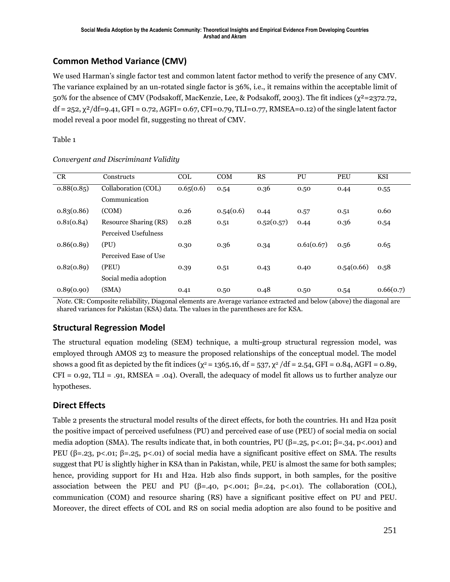#### **Common Method Variance (CMV)**

We used Harman's single factor test and common latent factor method to verify the presence of any CMV. The variance explained by an un-rotated single factor is 36%, i.e., it remains within the acceptable limit of 50% for the absence of CMV (Podsakoff, MacKenzie, Lee, & Podsakoff, 2003). The fit indices (χ²=2372.72,  $df = 252$ ,  $\chi^2/df = 9.41$ , GFI = 0.72, AGFI= 0.67, CFI=0.79, TLI=0.77, RMSEA=0.12) of the single latent factor model reveal a poor model fit, suggesting no threat of CMV.

Table 1

| <b>CR</b>  | Constructs            | <b>COL</b> | <b>COM</b> | RS         | PU         | <b>PEU</b> | <b>KSI</b> |
|------------|-----------------------|------------|------------|------------|------------|------------|------------|
| 0.88(0.85) | Collaboration (COL)   | 0.65(0.6)  | 0.54       | 0.36       | 0.50       | 0.44       | 0.55       |
|            | Communication         |            |            |            |            |            |            |
| 0.83(0.86) | (COM)                 | 0.26       | 0.54(0.6)  | 0.44       | 0.57       | 0.51       | 0.60       |
| 0.81(0.84) | Resource Sharing (RS) | 0.28       | 0.51       | 0.52(0.57) | 0.44       | 0.36       | 0.54       |
|            | Perceived Usefulness  |            |            |            |            |            |            |
| 0.86(0.89) | (PU)                  | 0.30       | 0.36       | 0.34       | 0.61(0.67) | 0.56       | 0.65       |
|            | Perceived Ease of Use |            |            |            |            |            |            |
| 0.82(0.89) | (PEU)                 | 0.39       | 0.51       | 0.43       | 0.40       | 0.54(0.66) | 0.58       |
|            | Social media adoption |            |            |            |            |            |            |
| 0.89(0.90) | (SMA)                 | 0.41       | 0.50       | 0.48       | 0.50       | 0.54       | 0.66(0.7)  |

#### *Convergent and Discriminant Validity*

*Note.* CR: Composite reliability, Diagonal elements are Average variance extracted and below (above) the diagonal are shared variances for Pakistan (KSA) data. The values in the parentheses are for KSA.

#### **Structural Regression Model**

The structural equation modeling (SEM) technique, a multi-group structural regression model, was employed through AMOS 23 to measure the proposed relationships of the conceptual model. The model shows a good fit as depicted by the fit indices ( $\chi^2$  = 1365.16, df = 537,  $\chi^2$  /df = 2.54, GFI = 0.84, AGFI = 0.89,  $CFI = 0.92$ ,  $TLI = .91$ , RMSEA = .04). Overall, the adequacy of model fit allows us to further analyze our hypotheses.

#### **Direct Effects**

Table 2 presents the structural model results of the direct effects, for both the countries. H1 and H2a posit the positive impact of perceived usefulness (PU) and perceived ease of use (PEU) of social media on social media adoption (SMA). The results indicate that, in both countries, PU ( $\beta$ =.25, p<.01;  $\beta$ =.34, p<.001) and PEU (β=.23, p<.01; β=.25, p<.01) of social media have a significant positive effect on SMA. The results suggest that PU is slightly higher in KSA than in Pakistan, while, PEU is almost the same for both samples; hence, providing support for H1 and H2a. H2b also finds support, in both samples, for the positive association between the PEU and PU (β=.40, p<.001; β=.24, p<.01). The collaboration (COL), communication (COM) and resource sharing (RS) have a significant positive effect on PU and PEU. Moreover, the direct effects of COL and RS on social media adoption are also found to be positive and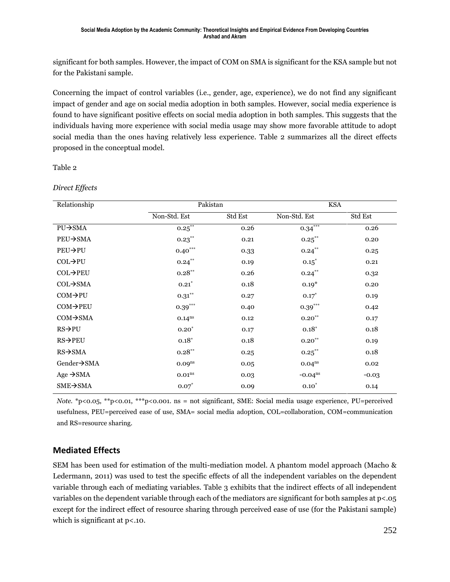significant for both samples. However, the impact of COM on SMA is significant for the KSA sample but not for the Pakistani sample.

Concerning the impact of control variables (i.e., gender, age, experience), we do not find any significant impact of gender and age on social media adoption in both samples. However, social media experience is found to have significant positive effects on social media adoption in both samples. This suggests that the individuals having more experience with social media usage may show more favorable attitude to adopt social media than the ones having relatively less experience. Table 2 summarizes all the direct effects proposed in the conceptual model.

Table 2

*Direct Effects*

| Relationship          | Pakistan             |         | <b>KSA</b>         |         |  |
|-----------------------|----------------------|---------|--------------------|---------|--|
|                       | Non-Std. Est         | Std Est | Non-Std. Est       | Std Est |  |
| $PU \rightarrow SMA$  | $0.25***$            | 0.26    | 0.34               | 0.26    |  |
| $PEU \rightarrow SMA$ | $0.23***$            | 0.21    | $0.25***$          | 0.20    |  |
| $PEU \rightarrow PU$  | $0.40***$            | 0.33    | $0.24***$          | 0.25    |  |
| $COL \rightarrow PU$  | $0.24***$            | 0.19    | $0.15^*$           | 0.21    |  |
| COL→PEU               | $0.28***$            | 0.26    | $0.24***$          | 0.32    |  |
| $COL \rightarrow SMA$ | $0.21^*$             | 0.18    | $0.19*$            | 0.20    |  |
| $COM \rightarrow PU$  | $0.31***$            | 0.27    | $0.17*$            | 0.19    |  |
| $COM\rightarrow PEU$  | $0.39***$            | 0.40    | $0.39***$          | 0.42    |  |
| $COM \rightarrow SMA$ | $0.14$ <sup>ns</sup> | 0.12    | $0.20***$          | 0.17    |  |
| $RS \rightarrow PU$   | $0.20^{*}$           | 0.17    | $0.18*$            | 0.18    |  |
| $RS \rightarrow PEU$  | $0.18*$              | 0.18    | $0.20^{**}$        | 0.19    |  |
| $RS \rightarrow SMA$  | $0.28***$            | 0.25    | $0.25***$          | 0.18    |  |
| Gender→SMA            | 0.09 <sup>ns</sup>   | 0.05    | 0.04 <sup>ns</sup> | 0.02    |  |
| Age $\rightarrow$ SMA | 0.01 <sup>ns</sup>   | 0.03    | $-0.04ns$          | $-0.03$ |  |
| $SME \rightarrow SMA$ | $0.07^*$             | 0.09    | $0.10*$            | 0.14    |  |

*Note.* \*p<0.05, \*\*p<0.01, \*\*\*p<0.001. ns = not significant, SME: Social media usage experience, PU=perceived usefulness, PEU=perceived ease of use, SMA= social media adoption, COL=collaboration, COM=communication and RS=resource sharing.

#### **Mediated Effects**

SEM has been used for estimation of the multi-mediation model. A phantom model approach (Macho & Ledermann, 2011) was used to test the specific effects of all the independent variables on the dependent variable through each of mediating variables. Table 3 exhibits that the indirect effects of all independent variables on the dependent variable through each of the mediators are significant for both samples at p<.05 except for the indirect effect of resource sharing through perceived ease of use (for the Pakistani sample) which is significant at  $p<$ .10.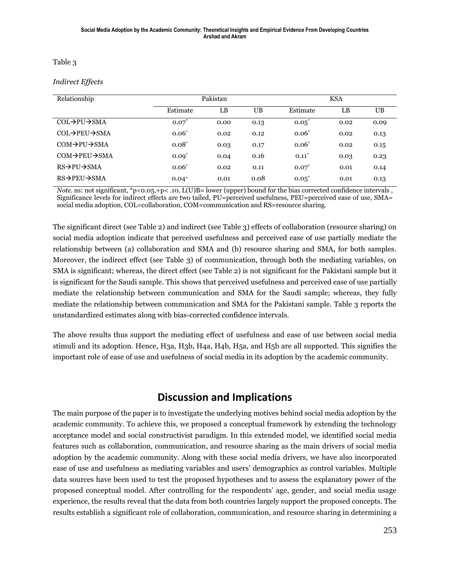#### Table 3

#### *Indirect Effects*

| Relationship                           | Pakistan   |      |           | <b>KSA</b> |      |      |
|----------------------------------------|------------|------|-----------|------------|------|------|
|                                        | Estimate   | LB   | <b>UB</b> | Estimate   | LB   | UB.  |
| $COL \rightarrow PU \rightarrow SMA$   | $0.07^{*}$ | 0.00 | 0.13      | $0.05^*$   | 0.02 | 0.09 |
| $COL \rightarrow PEU \rightarrow SMA$  | $0.06*$    | 0.02 | 0.12      | $0.06*$    | 0.02 | 0.13 |
| $COM \rightarrow PU \rightarrow SMA$   | $0.08*$    | 0.03 | 0.17      | $0.06*$    | 0.02 | 0.15 |
| $COM\rightarrow$ PEU $\rightarrow$ SMA | $0.09*$    | 0.04 | 0.16      | $0.11^*$   | 0.03 | 0.23 |
| $RS \rightarrow PU \rightarrow SMA$    | $0.06*$    | 0.02 | 0.11      | $0.07^{*}$ | 0.01 | 0.14 |
| $RS\rightarrow$ PEU $\rightarrow$ SMA  | $0.04^{+}$ | 0.01 | 0.08      | $0.05^*$   | 0.01 | 0.13 |

*Note.* ns: not significant, \*p<0.05,+p< .10, L(U)B= lower (upper) bound for the bias corrected confidence intervals, Significance levels for indirect effects are two tailed, PU=perceived usefulness, PEU=perceived ease of use, SMA= social media adoption, COL=collaboration, COM=communication and RS=resource sharing.

The significant direct (see Table 2) and indirect (see Table 3) effects of collaboration (resource sharing) on social media adoption indicate that perceived usefulness and perceived ease of use partially mediate the relationship between (a) collaboration and SMA and (b) resource sharing and SMA, for both samples. Moreover, the indirect effect (see Table 3) of communication, through both the mediating variables, on SMA is significant; whereas, the direct effect (see Table 2) is not significant for the Pakistani sample but it is significant for the Saudi sample. This shows that perceived usefulness and perceived ease of use partially mediate the relationship between communication and SMA for the Saudi sample; whereas, they fully mediate the relationship between communication and SMA for the Pakistani sample. Table 3 reports the unstandardized estimates along with bias-corrected confidence intervals.

The above results thus support the mediating effect of usefulness and ease of use between social media stimuli and its adoption. Hence, H3a, H3b, H4a, H4b, H5a, and H5b are all supported. This signifies the important role of ease of use and usefulness of social media in its adoption by the academic community.

### **Discussion and Implications**

The main purpose of the paper is to investigate the underlying motives behind social media adoption by the academic community. To achieve this, we proposed a conceptual framework by extending the technology acceptance model and social constructivist paradigm. In this extended model, we identified social media features such as collaboration, communication, and resource sharing as the main drivers of social media adoption by the academic community. Along with these social media drivers, we have also incorporated ease of use and usefulness as mediating variables and users' demographics as control variables. Multiple data sources have been used to test the proposed hypotheses and to assess the explanatory power of the proposed conceptual model. After controlling for the respondents' age, gender, and social media usage experience, the results reveal that the data from both countries largely support the proposed concepts. The results establish a significant role of collaboration, communication, and resource sharing in determining a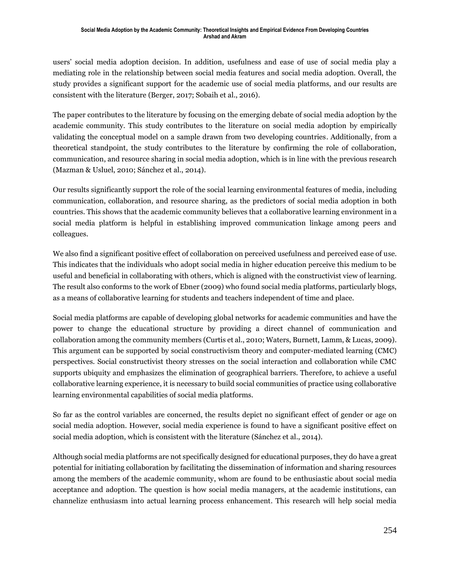users' social media adoption decision. In addition, usefulness and ease of use of social media play a mediating role in the relationship between social media features and social media adoption. Overall, the study provides a significant support for the academic use of social media platforms, and our results are consistent with the literature (Berger, 2017; Sobaih et al., 2016).

The paper contributes to the literature by focusing on the emerging debate of social media adoption by the academic community. This study contributes to the literature on social media adoption by empirically validating the conceptual model on a sample drawn from two developing countries. Additionally, from a theoretical standpoint, the study contributes to the literature by confirming the role of collaboration, communication, and resource sharing in social media adoption, which is in line with the previous research (Mazman & Usluel, 2010; Sánchez et al., 2014).

Our results significantly support the role of the social learning environmental features of media, including communication, collaboration, and resource sharing, as the predictors of social media adoption in both countries. This shows that the academic community believes that a collaborative learning environment in a social media platform is helpful in establishing improved communication linkage among peers and colleagues.

We also find a significant positive effect of collaboration on perceived usefulness and perceived ease of use. This indicates that the individuals who adopt social media in higher education perceive this medium to be useful and beneficial in collaborating with others, which is aligned with the constructivist view of learning. The result also conforms to the work of Ebner (2009) who found social media platforms, particularly blogs, as a means of collaborative learning for students and teachers independent of time and place.

Social media platforms are capable of developing global networks for academic communities and have the power to change the educational structure by providing a direct channel of communication and collaboration among the community members (Curtis et al., 2010; Waters, Burnett, Lamm, & Lucas, 2009). This argument can be supported by social constructivism theory and computer-mediated learning (CMC) perspectives. Social constructivist theory stresses on the social interaction and collaboration while CMC supports ubiquity and emphasizes the elimination of geographical barriers. Therefore, to achieve a useful collaborative learning experience, it is necessary to build social communities of practice using collaborative learning environmental capabilities of social media platforms.

So far as the control variables are concerned, the results depict no significant effect of gender or age on social media adoption. However, social media experience is found to have a significant positive effect on social media adoption, which is consistent with the literature (Sánchez et al., 2014).

Although social media platforms are not specifically designed for educational purposes, they do have a great potential for initiating collaboration by facilitating the dissemination of information and sharing resources among the members of the academic community, whom are found to be enthusiastic about social media acceptance and adoption. The question is how social media managers, at the academic institutions, can channelize enthusiasm into actual learning process enhancement. This research will help social media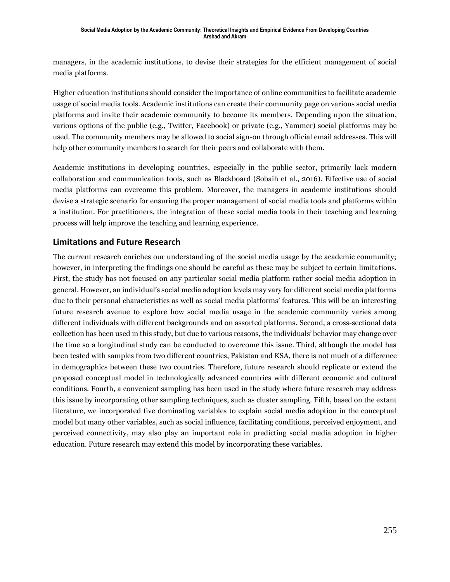managers, in the academic institutions, to devise their strategies for the efficient management of social media platforms.

Higher education institutions should consider the importance of online communities to facilitate academic usage of social media tools. Academic institutions can create their community page on various social media platforms and invite their academic community to become its members. Depending upon the situation, various options of the public (e.g., Twitter, Facebook) or private (e.g., Yammer) social platforms may be used. The community members may be allowed to social sign-on through official email addresses. This will help other community members to search for their peers and collaborate with them.

Academic institutions in developing countries, especially in the public sector, primarily lack modern collaboration and communication tools, such as Blackboard (Sobaih et al., 2016). Effective use of social media platforms can overcome this problem. Moreover, the managers in academic institutions should devise a strategic scenario for ensuring the proper management of social media tools and platforms within a institution. For practitioners, the integration of these social media tools in their teaching and learning process will help improve the teaching and learning experience.

#### **Limitations and Future Research**

The current research enriches our understanding of the social media usage by the academic community; however, in interpreting the findings one should be careful as these may be subject to certain limitations. First, the study has not focused on any particular social media platform rather social media adoption in general. However, an individual's social media adoption levels may vary for different social media platforms due to their personal characteristics as well as social media platforms' features. This will be an interesting future research avenue to explore how social media usage in the academic community varies among different individuals with different backgrounds and on assorted platforms. Second, a cross-sectional data collection has been used in this study, but due to various reasons, the individuals' behavior may change over the time so a longitudinal study can be conducted to overcome this issue. Third, although the model has been tested with samples from two different countries, Pakistan and KSA, there is not much of a difference in demographics between these two countries. Therefore, future research should replicate or extend the proposed conceptual model in technologically advanced countries with different economic and cultural conditions. Fourth, a convenient sampling has been used in the study where future research may address this issue by incorporating other sampling techniques, such as cluster sampling. Fifth, based on the extant literature, we incorporated five dominating variables to explain social media adoption in the conceptual model but many other variables, such as social influence, facilitating conditions, perceived enjoyment, and perceived connectivity, may also play an important role in predicting social media adoption in higher education. Future research may extend this model by incorporating these variables.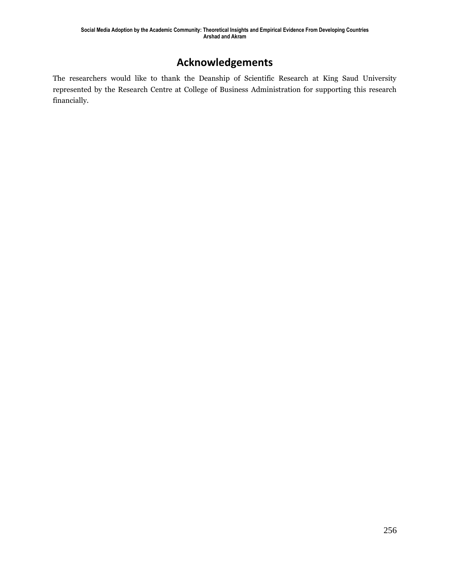## **Acknowledgements**

The researchers would like to thank the Deanship of Scientific Research at King Saud University represented by the Research Centre at College of Business Administration for supporting this research financially.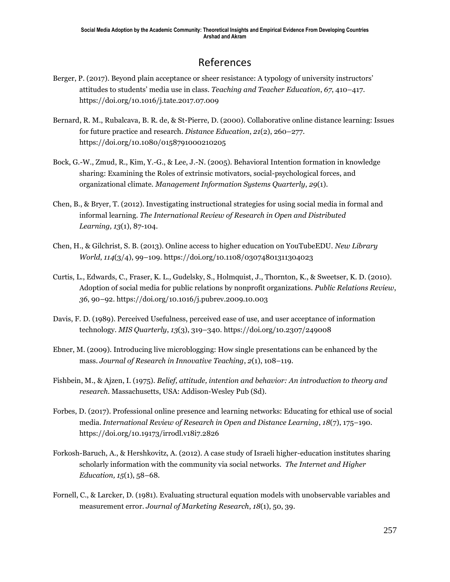## References

- Berger, P. (2017). Beyond plain acceptance or sheer resistance: A typology of university instructors' attitudes to students' media use in class. *Teaching and Teacher Education*, *67*, 410–417. https://doi.org/10.1016/j.tate.2017.07.009
- Bernard, R. M., Rubalcava, B. R. de, & St-Pierre, D. (2000). Collaborative online distance learning: Issues for future practice and research. *Distance Education*, *21*(2), 260–277. https://doi.org/10.1080/0158791000210205
- Bock, G.-W., Zmud, R., Kim, Y.-G., & Lee, J.-N. (2005). Behavioral Intention formation in knowledge sharing: Examining the Roles of extrinsic motivators, social-psychological forces, and organizational climate. *Management Information Systems Quarterly*, *29*(1).
- Chen, B., & Bryer, T. (2012). Investigating instructional strategies for using social media in formal and informal learning. *The International Review of Research in Open and Distributed Learning, 13*(1), 87-104.
- Chen, H., & Gilchrist, S. B. (2013). Online access to higher education on YouTubeEDU. *New Library World*, *114*(3/4), 99–109. https://doi.org/10.1108/03074801311304023
- Curtis, L., Edwards, C., Fraser, K. L., Gudelsky, S., Holmquist, J., Thornton, K., & Sweetser, K. D. (2010). Adoption of social media for public relations by nonprofit organizations. *Public Relations Review*, *36*, 90–92. https://doi.org/10.1016/j.pubrev.2009.10.003
- Davis, F. D. (1989). Perceived Usefulness, perceived ease of use, and user acceptance of information technology. *MIS Quarterly*, *13*(3), 319–340. https://doi.org/10.2307/249008
- Ebner, M. (2009). Introducing live microblogging: How single presentations can be enhanced by the mass. *Journal of Research in Innovative Teaching*, *2*(1), 108–119.
- Fishbein, M., & Ajzen, I. (1975). *Belief, attitude, intention and behavior: An introduction to theory and research*. Massachusetts, USA: Addison-Wesley Pub (Sd).
- Forbes, D. (2017). Professional online presence and learning networks: Educating for ethical use of social media. *International Review of Research in Open and Distance Learning*, *18*(7), 175–190. https://doi.org/10.19173/irrodl.v18i7.2826
- Forkosh-Baruch, A., & Hershkovitz, A. (2012). A case study of Israeli higher-education institutes sharing scholarly information with the community via social networks. *The Internet and Higher Education, 15*(1), 58–68.
- Fornell, C., & Larcker, D. (1981). Evaluating structural equation models with unobservable variables and measurement error. *Journal of Marketing Research*, *18*(1), 50, 39.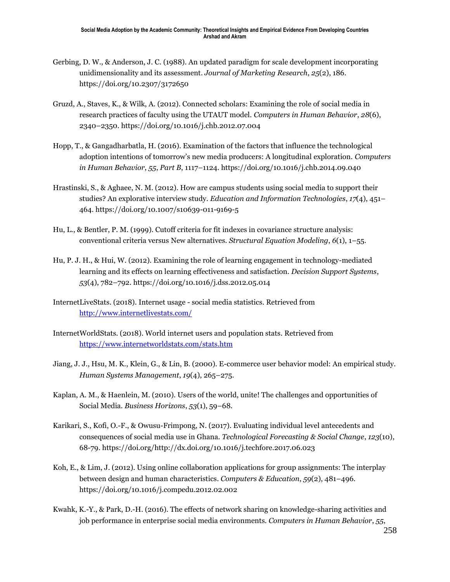- Gerbing, D. W., & Anderson, J. C. (1988). An updated paradigm for scale development incorporating unidimensionality and its assessment. *Journal of Marketing Research*, *25*(2), 186. https://doi.org/10.2307/3172650
- Gruzd, A., Staves, K., & Wilk, A. (2012). Connected scholars: Examining the role of social media in research practices of faculty using the UTAUT model. *Computers in Human Behavior*, *28*(6), 2340–2350. https://doi.org/10.1016/j.chb.2012.07.004
- Hopp, T., & Gangadharbatla, H. (2016). Examination of the factors that influence the technological adoption intentions of tomorrow's new media producers: A longitudinal exploration. *Computers in Human Behavior*, *55*, *Part B*, 1117–1124. https://doi.org/10.1016/j.chb.2014.09.040
- Hrastinski, S., & Aghaee, N. M. (2012). How are campus students using social media to support their studies? An explorative interview study. *Education and Information Technologies*, *17*(4), 451– 464. https://doi.org/10.1007/s10639-011-9169-5
- Hu, L., & Bentler, P. M. (1999). Cutoff criteria for fit indexes in covariance structure analysis: conventional criteria versus New alternatives. *Structural Equation Modeling*, *6*(1), 1–55.
- Hu, P. J. H., & Hui, W. (2012). Examining the role of learning engagement in technology-mediated learning and its effects on learning effectiveness and satisfaction. *Decision Support Systems*, *53*(4), 782–792. https://doi.org/10.1016/j.dss.2012.05.014
- InternetLiveStats. (2018). Internet usage social media statistics. Retrieved from <http://www.internetlivestats.com/>
- InternetWorldStats. (2018). World internet users and population stats. Retrieved from <https://www.internetworldstats.com/stats.htm>
- Jiang, J. J., Hsu, M. K., Klein, G., & Lin, B. (2000). E-commerce user behavior model: An empirical study. *Human Systems Management*, *19*(4), 265–275.
- Kaplan, A. M., & Haenlein, M. (2010). Users of the world, unite! The challenges and opportunities of Social Media. *Business Horizons*, *53*(1), 59–68.
- Karikari, S., Kofi, O.-F., & Owusu-Frimpong, N. (2017). Evaluating individual level antecedents and consequences of social media use in Ghana. *Technological Forecasting & Social Change*, *123*(10), 68-79. https://doi.org/http://dx.doi.org/10.1016/j.techfore.2017.06.023
- Koh, E., & Lim, J. (2012). Using online collaboration applications for group assignments: The interplay between design and human characteristics. *Computers & Education*, *59*(2), 481–496. https://doi.org/10.1016/j.compedu.2012.02.002
- Kwahk, K.-Y., & Park, D.-H. (2016). The effects of network sharing on knowledge-sharing activities and job performance in enterprise social media environments. *Computers in Human Behavior*, *55*,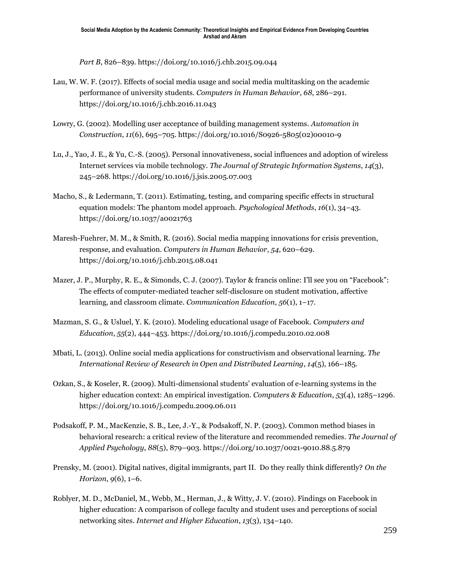*Part B*, 826–839. https://doi.org/10.1016/j.chb.2015.09.044

- Lau, W. W. F. (2017). Effects of social media usage and social media multitasking on the academic performance of university students. *Computers in Human Behavior*, *68*, 286–291. https://doi.org/10.1016/j.chb.2016.11.043
- Lowry, G. (2002). Modelling user acceptance of building management systems. *Automation in Construction*, *11*(6), 695–705. https://doi.org/10.1016/S0926-5805(02)00010-9
- Lu, J., Yao, J. E., & Yu, C.-S. (2005). Personal innovativeness, social influences and adoption of wireless Internet services via mobile technology. *The Journal of Strategic Information Systems*, *14*(3), 245–268. https://doi.org/10.1016/j.jsis.2005.07.003
- Macho, S., & Ledermann, T. (2011). Estimating, testing, and comparing specific effects in structural equation models: The phantom model approach. *Psychological Methods*, *16*(1), 34–43. https://doi.org/10.1037/a0021763
- Maresh-Fuehrer, M. M., & Smith, R. (2016). Social media mapping innovations for crisis prevention, response, and evaluation. *Computers in Human Behavior*, *54*, 620–629. https://doi.org/10.1016/j.chb.2015.08.041
- Mazer, J. P., Murphy, R. E., & Simonds, C. J. (2007). Taylor & francis online: I'll see you on "Facebook": The effects of computer-mediated teacher self-disclosure on student motivation, affective learning, and classroom climate. *Communication Education, 56*(1), 1–17.
- Mazman, S. G., & Usluel, Y. K. (2010). Modeling educational usage of Facebook. *Computers and Education*, *55*(2), 444–453. https://doi.org/10.1016/j.compedu.2010.02.008
- Mbati, L. (2013). Online social media applications for constructivism and observational learning. *The International Review of Research in Open and Distributed Learning*, *14*(5), 166–185.
- Ozkan, S., & Koseler, R. (2009). Multi-dimensional students' evaluation of e-learning systems in the higher education context: An empirical investigation. *Computers & Education*, *53*(4), 1285–1296. https://doi.org/10.1016/j.compedu.2009.06.011
- Podsakoff, P. M., MacKenzie, S. B., Lee, J.-Y., & Podsakoff, N. P. (2003). Common method biases in behavioral research: a critical review of the literature and recommended remedies. *The Journal of Applied Psychology*, *88*(5), 879–903. https://doi.org/10.1037/0021-9010.88.5.879
- Prensky, M. (2001). Digital natives, digital immigrants, part II. Do they really think differently? *On the Horizon*, *9*(6), 1–6.
- Roblyer, M. D., McDaniel, M., Webb, M., Herman, J., & Witty, J. V. (2010). Findings on Facebook in higher education: A comparison of college faculty and student uses and perceptions of social networking sites. *Internet and Higher Education*, *13*(3), 134–140.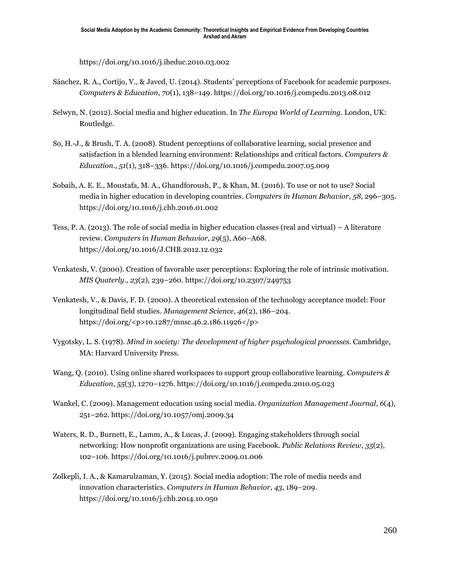https://doi.org/10.1016/j.iheduc.2010.03.002

- Sánchez, R. A., Cortijo, V., & Javed, U. (2014). Students' perceptions of Facebook for academic purposes. *Computers & Education*, *70*(1), 138–149. https://doi.org/10.1016/j.compedu.2013.08.012
- Selwyn, N. (2012). Social media and higher education. In *The Europa World of Learning*. London, UK: Routledge.
- So, H.-J., & Brush, T. A. (2008). Student perceptions of collaborative learning, social presence and satisfaction in a blended learning environment: Relationships and critical factors. *Computers & Education.*, *51*(1), 318–336. https://doi.org/10.1016/j.compedu.2007.05.009
- Sobaih, A. E. E., Moustafa, M. A., Ghandforoush, P., & Khan, M. (2016). To use or not to use? Social media in higher education in developing countries. *Computers in Human Behavior*, *58*, 296–305. https://doi.org/10.1016/j.chb.2016.01.002
- Tess, P. A. (2013). The role of social media in higher education classes (real and virtual) A literature review. *Computers in Human Behavior*, *29*(5), A60–A68. https://doi.org/10.1016/J.CHB.2012.12.032
- Venkatesh, V. (2000). Creation of favorable user perceptions: Exploring the role of intrinsic motivation. *MIS Quaterly.*, *23*(2), 239–260. https://doi.org/10.2307/249753
- Venkatesh, V., & Davis, F. D. (2000). A theoretical extension of the technology acceptance model: Four longitudinal field studies. *Management Science*, *46*(2), 186–204. https://doi.org/<p>10.1287/mnsc.46.2.186.11926</p>
- Vygotsky, L. S. (1978). *Mind in society: The development of higher psychological processes*. Cambridge, MA: Harvard University Press.
- Wang, Q. (2010). Using online shared workspaces to support group collaborative learning. *Computers & Education*, *55*(3), 1270–1276. https://doi.org/10.1016/j.compedu.2010.05.023
- Wankel, C. (2009). Management education using social media. *Organization Management Journal*, *6*(4), 251–262. https://doi.org/10.1057/omj.2009.34
- Waters, R. D., Burnett, E., Lamm, A., & Lucas, J. (2009). Engaging stakeholders through social networking: How nonprofit organizations are using Facebook. *Public Relations Review*, *35*(2), 102–106. https://doi.org/10.1016/j.pubrev.2009.01.006
- Zolkepli, I. A., & Kamarulzaman, Y. (2015). Social media adoption: The role of media needs and innovation characteristics. *Computers in Human Behavior*, *43*, 189–209. https://doi.org/10.1016/j.chb.2014.10.050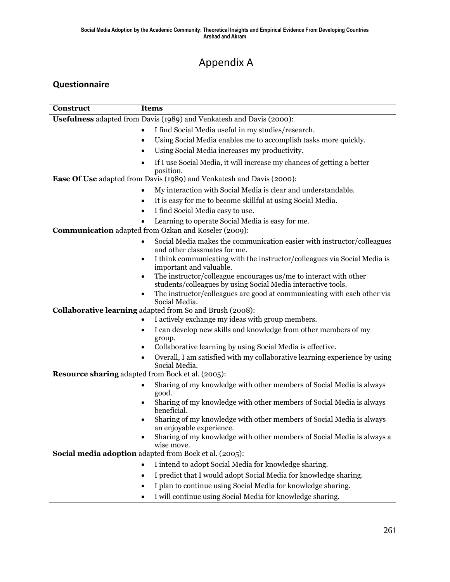## Appendix A

#### **Questionnaire**

| Construct                                                            | <b>Items</b>                                                                                                                          |  |  |  |
|----------------------------------------------------------------------|---------------------------------------------------------------------------------------------------------------------------------------|--|--|--|
| Usefulness adapted from Davis (1989) and Venkatesh and Davis (2000): |                                                                                                                                       |  |  |  |
|                                                                      | I find Social Media useful in my studies/research.<br>$\bullet$                                                                       |  |  |  |
|                                                                      | Using Social Media enables me to accomplish tasks more quickly.<br>$\bullet$                                                          |  |  |  |
|                                                                      | Using Social Media increases my productivity.<br>$\bullet$                                                                            |  |  |  |
|                                                                      | If I use Social Media, it will increase my chances of getting a better<br>$\bullet$<br>position.                                      |  |  |  |
|                                                                      | Ease Of Use adapted from Davis (1989) and Venkatesh and Davis (2000):                                                                 |  |  |  |
|                                                                      | My interaction with Social Media is clear and understandable.<br>$\bullet$                                                            |  |  |  |
|                                                                      | It is easy for me to become skillful at using Social Media.<br>$\bullet$                                                              |  |  |  |
|                                                                      | I find Social Media easy to use.                                                                                                      |  |  |  |
|                                                                      | Learning to operate Social Media is easy for me.                                                                                      |  |  |  |
| Communication adapted from Ozkan and Koseler (2009):                 |                                                                                                                                       |  |  |  |
|                                                                      | Social Media makes the communication easier with instructor/colleagues<br>٠<br>and other classmates for me.                           |  |  |  |
|                                                                      | I think communicating with the instructor/colleagues via Social Media is<br>٠<br>important and valuable.                              |  |  |  |
|                                                                      | The instructor/colleague encourages us/me to interact with other<br>٠<br>students/colleagues by using Social Media interactive tools. |  |  |  |
|                                                                      | The instructor/colleagues are good at communicating with each other via<br>٠<br>Social Media.                                         |  |  |  |
| Collaborative learning adapted from So and Brush (2008):             |                                                                                                                                       |  |  |  |
|                                                                      | I actively exchange my ideas with group members.<br>$\bullet$                                                                         |  |  |  |
|                                                                      | I can develop new skills and knowledge from other members of my<br>٠<br>group.                                                        |  |  |  |
|                                                                      | Collaborative learning by using Social Media is effective.<br>٠                                                                       |  |  |  |
|                                                                      | Overall, I am satisfied with my collaborative learning experience by using<br>٠<br>Social Media.                                      |  |  |  |
| <b>Resource sharing adapted from Bock et al. (2005):</b>             |                                                                                                                                       |  |  |  |
|                                                                      | Sharing of my knowledge with other members of Social Media is always<br>٠<br>good.                                                    |  |  |  |
|                                                                      | Sharing of my knowledge with other members of Social Media is always<br>٠<br>beneficial.                                              |  |  |  |
|                                                                      | Sharing of my knowledge with other members of Social Media is always<br>٠<br>an enjoyable experience.                                 |  |  |  |
|                                                                      | Sharing of my knowledge with other members of Social Media is always a<br>wise move.                                                  |  |  |  |
| Social media adoption adapted from Bock et al. (2005):               |                                                                                                                                       |  |  |  |
|                                                                      | I intend to adopt Social Media for knowledge sharing.<br>$\bullet$                                                                    |  |  |  |
|                                                                      | I predict that I would adopt Social Media for knowledge sharing.<br>$\bullet$                                                         |  |  |  |
|                                                                      | I plan to continue using Social Media for knowledge sharing.<br>٠                                                                     |  |  |  |

I will continue using Social Media for knowledge sharing.